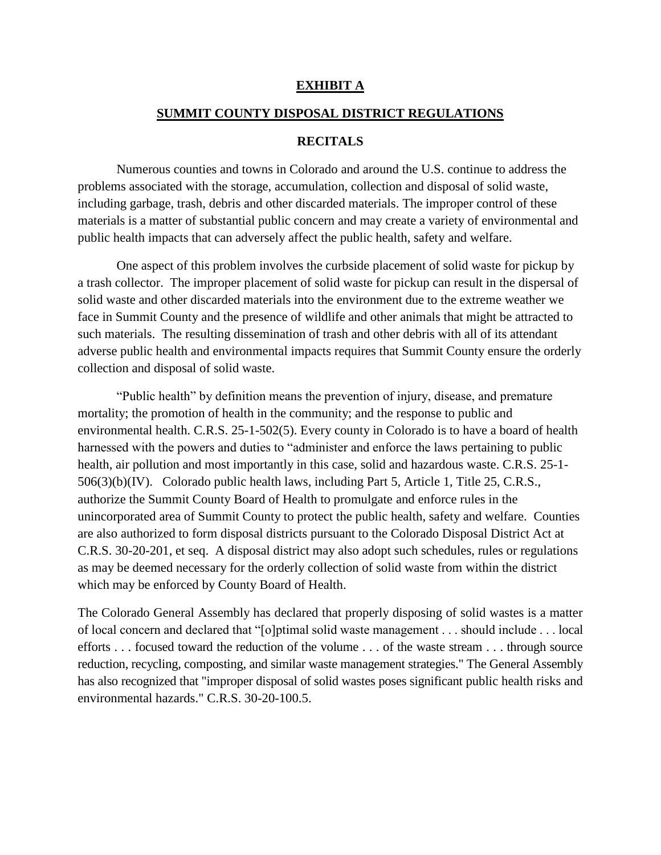## **EXHIBIT A**

## **SUMMIT COUNTY DISPOSAL DISTRICT REGULATIONS**

#### **RECITALS**

Numerous counties and towns in Colorado and around the U.S. continue to address the problems associated with the storage, accumulation, collection and disposal of solid waste, including garbage, trash, debris and other discarded materials. The improper control of these materials is a matter of substantial public concern and may create a variety of environmental and public health impacts that can adversely affect the public health, safety and welfare.

One aspect of this problem involves the curbside placement of solid waste for pickup by a trash collector. The improper placement of solid waste for pickup can result in the dispersal of solid waste and other discarded materials into the environment due to the extreme weather we face in Summit County and the presence of wildlife and other animals that might be attracted to such materials. The resulting dissemination of trash and other debris with all of its attendant adverse public health and environmental impacts requires that Summit County ensure the orderly collection and disposal of solid waste.

"Public health" by definition means the prevention of injury, disease, and premature mortality; the promotion of health in the community; and the response to public and environmental health. C.R.S. 25-1-502(5). Every county in Colorado is to have a board of health harnessed with the powers and duties to "administer and enforce the laws pertaining to public health, air pollution and most importantly in this case, solid and hazardous waste. C.R.S. 25-1- 506(3)(b)(IV). Colorado public health laws, including Part 5, Article 1, Title 25, C.R.S., authorize the Summit County Board of Health to promulgate and enforce rules in the unincorporated area of Summit County to protect the public health, safety and welfare. Counties are also authorized to form disposal districts pursuant to the Colorado Disposal District Act at C.R.S. 30-20-201, et seq. A disposal district may also adopt such schedules, rules or regulations as may be deemed necessary for the orderly collection of solid waste from within the district which may be enforced by County Board of Health.

The Colorado General Assembly has declared that properly disposing of solid wastes is a matter of local concern and declared that "[o]ptimal solid waste management . . . should include . . . local efforts . . . focused toward the reduction of the volume . . . of the waste stream . . . through source reduction, recycling, composting, and similar waste management strategies." The General Assembly has also recognized that "improper disposal of solid wastes poses significant public health risks and environmental hazards." C.R.S. 30-20-100.5.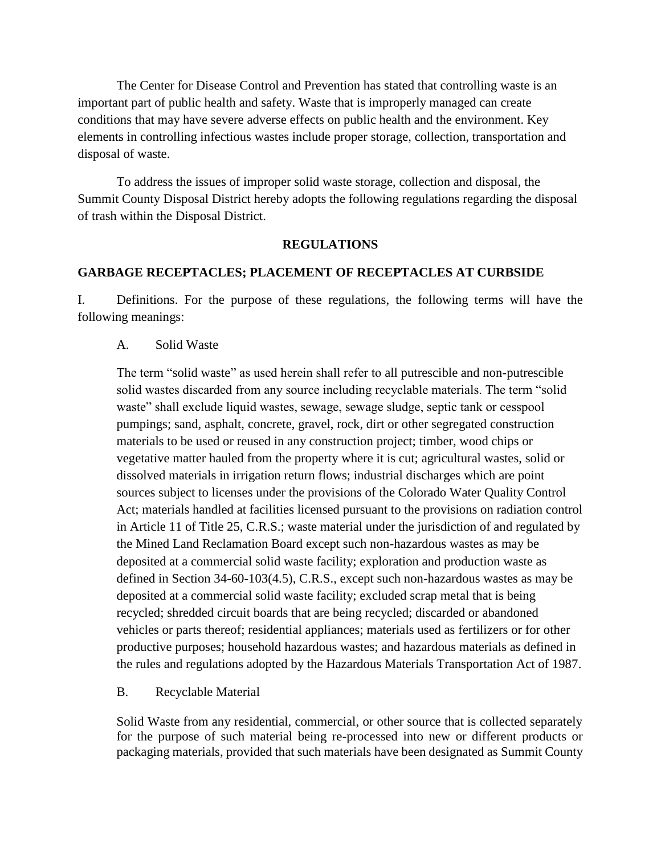The Center for Disease Control and Prevention has stated that controlling waste is an important part of public health and safety. Waste that is improperly managed can create conditions that may have severe adverse effects on public health and the environment. Key elements in controlling infectious wastes include proper storage, collection, transportation and disposal of waste.

To address the issues of improper solid waste storage, collection and disposal, the Summit County Disposal District hereby adopts the following regulations regarding the disposal of trash within the Disposal District.

## **REGULATIONS**

# **GARBAGE RECEPTACLES; PLACEMENT OF RECEPTACLES AT CURBSIDE**

I. Definitions. For the purpose of these regulations, the following terms will have the following meanings:

A. Solid Waste

The term "solid waste" as used herein shall refer to all putrescible and non-putrescible solid wastes discarded from any source including recyclable materials. The term "solid waste" shall exclude liquid wastes, sewage, sewage sludge, septic tank or cesspool pumpings; sand, asphalt, concrete, gravel, rock, dirt or other segregated construction materials to be used or reused in any construction project; timber, wood chips or vegetative matter hauled from the property where it is cut; agricultural wastes, solid or dissolved materials in irrigation return flows; industrial discharges which are point sources subject to licenses under the provisions of the Colorado Water Quality Control Act; materials handled at facilities licensed pursuant to the provisions on radiation control in Article 11 of Title 25, C.R.S.; waste material under the jurisdiction of and regulated by the Mined Land Reclamation Board except such non-hazardous wastes as may be deposited at a commercial solid waste facility; exploration and production waste as defined in Section 34-60-103(4.5), C.R.S., except such non-hazardous wastes as may be deposited at a commercial solid waste facility; excluded scrap metal that is being recycled; shredded circuit boards that are being recycled; discarded or abandoned vehicles or parts thereof; residential appliances; materials used as fertilizers or for other productive purposes; household hazardous wastes; and hazardous materials as defined in the rules and regulations adopted by the Hazardous Materials Transportation Act of 1987.

B. Recyclable Material

Solid Waste from any residential, commercial, or other source that is collected separately for the purpose of such material being re-processed into new or different products or packaging materials, provided that such materials have been designated as Summit County